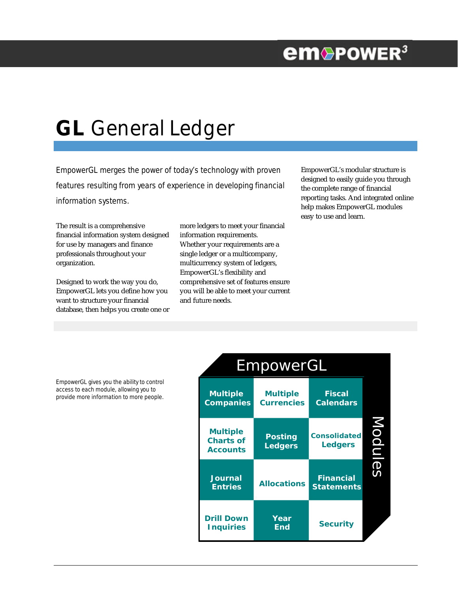## **em**®PowER<sup>3</sup>

# **GL** General Ledger

EmpowerGL merges the power of today's technology with proven features resulting from years of experience in developing financial information systems.

EmpowerGL's modular structure is designed to easily guide you through the complete range of financial reporting tasks. And integrated online help makes EmpowerGL modules easy to use and learn.

The result is a comprehensive financial information system designed for use by managers and finance professionals throughout your organization.

Designed to work the way you do, EmpowerGL lets you define how you want to structure your financial database, then helps you create one or

more ledgers to meet your financial information requirements. Whether your requirements are a single ledger or a multicompany, multicurrency system of ledgers, EmpowerGL's flexibility and comprehensive set of features ensure you will be able to meet your current and future needs.



EmpowerGL gives you the ability to control access to each module, allowing you to provide more information to more people.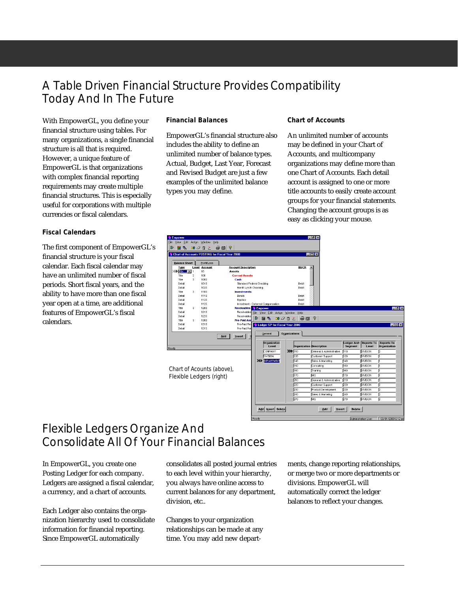## A Table Driven Financial Structure Provides Compatibility Today And In The Future

With EmpowerGL, you define your financial structure using tables. For many organizations, a single financial structure is all that is required. However, a unique feature of EmpowerGL is that organizations with complex financial reporting requirements may create multiple financial structures. This is especially useful for corporations with multiple currencies or fiscal calendars.

#### **Fiscal Calendars**

The first component of EmpowerGL's financial structure is your fiscal calendar. Each fiscal calendar may have an unlimited number of fiscal periods. Short fiscal years, and the ability to have more than one fiscal year open at a time, are additional features of EmpowerGL's fiscal calendars.

#### **Financial Balances**

EmpowerGL's financial structure also includes the ability to define an unlimited number of balance types. Actual, Budget, Last Year, Forecast and Revised Budget are just a few examples of the unlimited balance types you may define.

#### **Chart of Accounts**

An unlimited number of accounts may be defined in your Chart of Accounts, and multicompany organizations may define more than one Chart of Accounts. Each detail account is assigned to one or more title accounts to easily create account groups for your financial statements. Changing the account groups is as easy as clicking your mouse.



## Flexible Ledgers Organize And Consolidate All Of Your Financial Balances

In EmpowerGL, you create one Posting Ledger for each company. Ledgers are assigned a fiscal calendar, a currency, and a chart of accounts.

Each Ledger also contains the organization hierarchy used to consolidate information for financial reporting. Since EmpowerGL automatically

consolidates all posted journal entries to each level within your hierarchy, you always have online access to current balances for any department, division, etc..

Changes to your organization relationships can be made at any time. You may add new departments, change reporting relationships, or merge two or more departments or divisions. EmpowerGL will automatically correct the ledger balances to reflect your changes.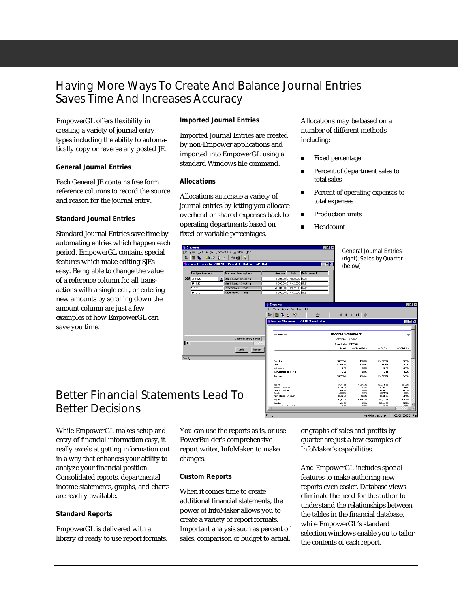### Having More Ways To Create And Balance Journal Entries Saves Time And Increases Accuracy

EmpowerGL offers flexibility in creating a variety of journal entry types including the ability to automatically copy or reverse any posted JE.

#### **General Journal Entries**

Each General JE contains free form reference columns to record the source and reason for the journal entry.

#### **Standard Journal Entries**

Standard Journal Entries save time by automating entries which happen each period. EmpowerGL contains special features which make editing SJEs easy. Being able to change the value of a reference column for all transactions with a single edit, or entering new amounts by scrolling down the amount column are just a few examples of how EmpowerGL can save you time.

#### **Imported Journal Entries**

Imported Journal Entries are created by non-Empower applications and imported into EmpowerGL using a standard Windows file command.

#### **Allocations**

Allocations automate a variety of journal entries by letting you allocate overhead or shared expenses back to operating departments based on fixed or variable percentages.

Allocations may be based on a number of different methods including:

- Fixed percentage
- Percent of department sales to total sales
- Percent of operating expenses to total expenses
- **n** Production units
- **Headcount**



## Better Financial Statements Lead To Better Decisions

While EmpowerGL makes setup and entry of financial information easy, it really excels at getting information out in a way that enhances your ability to analyze your financial position. Consolidated reports, departmental income statements, graphs, and charts are readily available.

#### **Standard Reports**

EmpowerGL is delivered with a library of ready to use report formats.

You can use the reports as is, or use PowerBuilder's comprehensive report writer, InfoMaker, to make changes.

#### **Custom Reports**

When it comes time to create additional financial statements, the power of InfoMaker allows you to create a variety of report formats. Important analysis such as percent of sales, comparison of budget to actual,

or graphs of sales and profits by quarter are just a few examples of InfoMaker's capabilities.

And EmpowerGL includes special features to make authoring new reports even easier. Database views eliminate the need for the author to understand the relationships between the tables in the financial database, while EmpowerGL's standard selection windows enable you to tailor the contents of each report.